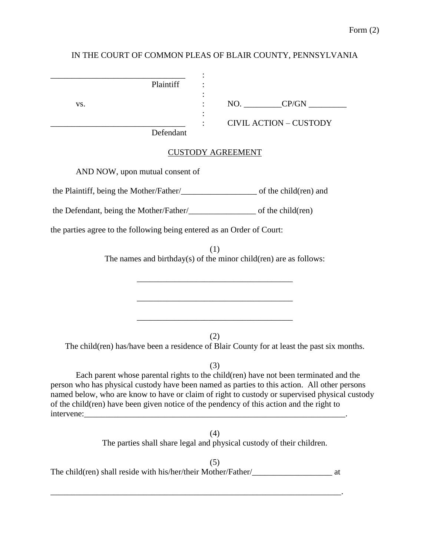# IN THE COURT OF COMMON PLEAS OF BLAIR COUNTY, PENNSYLVANIA

| $NO.$ $CP/GN$ $\qquad \qquad$                                                                                                                                                                                                                                                                                                                                                            |
|------------------------------------------------------------------------------------------------------------------------------------------------------------------------------------------------------------------------------------------------------------------------------------------------------------------------------------------------------------------------------------------|
| <b>CIVIL ACTION - CUSTODY</b>                                                                                                                                                                                                                                                                                                                                                            |
| <b>CUSTODY AGREEMENT</b>                                                                                                                                                                                                                                                                                                                                                                 |
|                                                                                                                                                                                                                                                                                                                                                                                          |
|                                                                                                                                                                                                                                                                                                                                                                                          |
|                                                                                                                                                                                                                                                                                                                                                                                          |
| the parties agree to the following being entered as an Order of Court:                                                                                                                                                                                                                                                                                                                   |
| (1)<br>The names and birthday $(s)$ of the minor child $(ren)$ are as follows:                                                                                                                                                                                                                                                                                                           |
| (2)<br>The child(ren) has/have been a residence of Blair County for at least the past six months.                                                                                                                                                                                                                                                                                        |
| (3)<br>Each parent whose parental rights to the child(ren) have not been terminated and the<br>person who has physical custody have been named as parties to this action. All other persons<br>named below, who are know to have or claim of right to custody or supervised physical custody<br>of the child(ren) have been given notice of the pendency of this action and the right to |
| (4)<br>The parties shall share legal and physical custody of their children.                                                                                                                                                                                                                                                                                                             |
| (5)<br>The child(ren) shall reside with his/her/their Mother/Father/<br>at                                                                                                                                                                                                                                                                                                               |
|                                                                                                                                                                                                                                                                                                                                                                                          |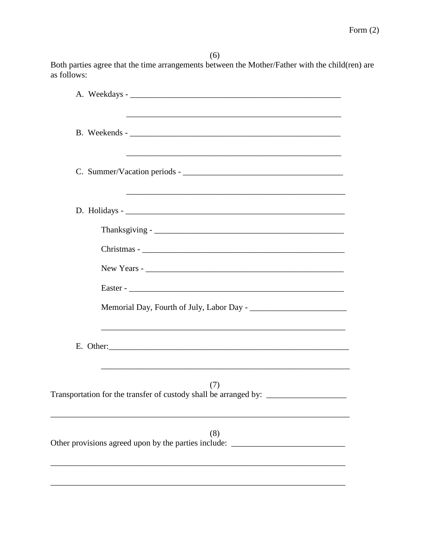$(6)$ Both parties agree that the time arrangements between the Mother/Father with the child(ren) are as follows:

| and the control of the control of the control of the control of the control of the control of the control of the<br><u> 1989 - Johann Stoff, amerikansk politiker (d. 1989)</u> |
|---------------------------------------------------------------------------------------------------------------------------------------------------------------------------------|
|                                                                                                                                                                                 |
|                                                                                                                                                                                 |
|                                                                                                                                                                                 |
|                                                                                                                                                                                 |
|                                                                                                                                                                                 |
|                                                                                                                                                                                 |
|                                                                                                                                                                                 |
| E. Other:                                                                                                                                                                       |
| (7)<br>Transportation for the transfer of custody shall be arranged by: ________________                                                                                        |
| (8)<br>Other provisions agreed upon by the parties include: ____________________________                                                                                        |
|                                                                                                                                                                                 |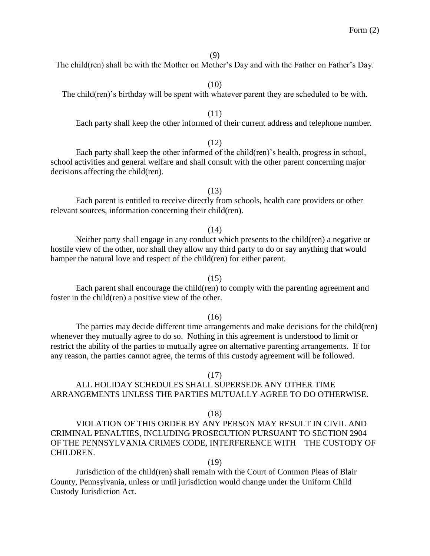# The child(ren) shall be with the Mother on Mother's Day and with the Father on Father's Day.

(10)

## The child(ren)'s birthday will be spent with whatever parent they are scheduled to be with.

#### (11)

Each party shall keep the other informed of their current address and telephone number.

#### (12)

Each party shall keep the other informed of the child(ren)'s health, progress in school, school activities and general welfare and shall consult with the other parent concerning major decisions affecting the child(ren).

Each parent is entitled to receive directly from schools, health care providers or other relevant sources, information concerning their child(ren).

(14)

(13)

Neither party shall engage in any conduct which presents to the child(ren) a negative or hostile view of the other, nor shall they allow any third party to do or say anything that would hamper the natural love and respect of the child(ren) for either parent.

#### (15)

Each parent shall encourage the child(ren) to comply with the parenting agreement and foster in the child(ren) a positive view of the other.

### $(16)$

The parties may decide different time arrangements and make decisions for the child(ren) whenever they mutually agree to do so. Nothing in this agreement is understood to limit or restrict the ability of the parties to mutually agree on alternative parenting arrangements. If for any reason, the parties cannot agree, the terms of this custody agreement will be followed.

#### (17)

# ALL HOLIDAY SCHEDULES SHALL SUPERSEDE ANY OTHER TIME ARRANGEMENTS UNLESS THE PARTIES MUTUALLY AGREE TO DO OTHERWISE.

### (18)

VIOLATION OF THIS ORDER BY ANY PERSON MAY RESULT IN CIVIL AND CRIMINAL PENALTIES, INCLUDING PROSECUTION PURSUANT TO SECTION 2904 OF THE PENNSYLVANIA CRIMES CODE, INTERFERENCE WITH THE CUSTODY OF CHILDREN.

## (19)

Jurisdiction of the child(ren) shall remain with the Court of Common Pleas of Blair County, Pennsylvania, unless or until jurisdiction would change under the Uniform Child Custody Jurisdiction Act.